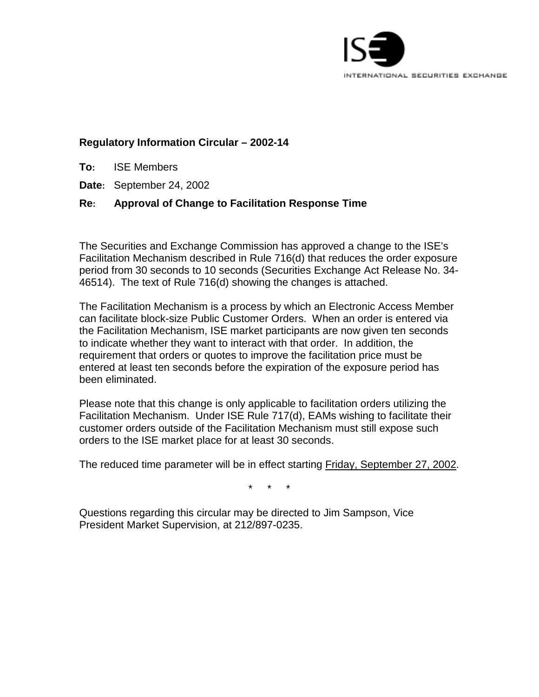

# **Regulatory Information Circular – 2002-14**

- **To:** ISE Members
- **Date:** September 24, 2002

### **Re: Approval of Change to Facilitation Response Time**

The Securities and Exchange Commission has approved a change to the ISE's Facilitation Mechanism described in Rule 716(d) that reduces the order exposure period from 30 seconds to 10 seconds (Securities Exchange Act Release No. 34- 46514). The text of Rule 716(d) showing the changes is attached.

The Facilitation Mechanism is a process by which an Electronic Access Member can facilitate block-size Public Customer Orders. When an order is entered via the Facilitation Mechanism, ISE market participants are now given ten seconds to indicate whether they want to interact with that order. In addition, the requirement that orders or quotes to improve the facilitation price must be entered at least ten seconds before the expiration of the exposure period has been eliminated.

Please note that this change is only applicable to facilitation orders utilizing the Facilitation Mechanism. Under ISE Rule 717(d), EAMs wishing to facilitate their customer orders outside of the Facilitation Mechanism must still expose such orders to the ISE market place for at least 30 seconds.

The reduced time parameter will be in effect starting Friday, September 27, 2002.

\* \* \*

Questions regarding this circular may be directed to Jim Sampson, Vice President Market Supervision, at 212/897-0235.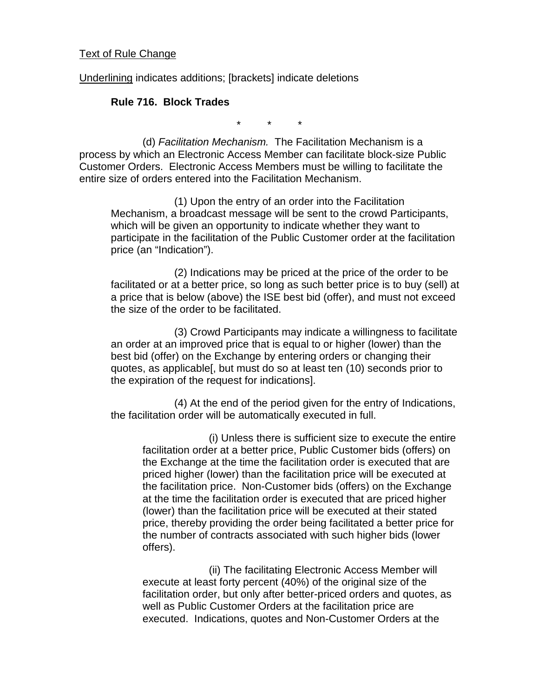#### Text of Rule Change

Underlining indicates additions; [brackets] indicate deletions

#### **Rule 716. Block Trades**

\* \* \*

(d) *Facilitation Mechanism.* The Facilitation Mechanism is a process by which an Electronic Access Member can facilitate block-size Public Customer Orders. Electronic Access Members must be willing to facilitate the entire size of orders entered into the Facilitation Mechanism.

(1) Upon the entry of an order into the Facilitation Mechanism, a broadcast message will be sent to the crowd Participants, which will be given an opportunity to indicate whether they want to participate in the facilitation of the Public Customer order at the facilitation price (an "Indication").

(2) Indications may be priced at the price of the order to be facilitated or at a better price, so long as such better price is to buy (sell) at a price that is below (above) the ISE best bid (offer), and must not exceed the size of the order to be facilitated.

(3) Crowd Participants may indicate a willingness to facilitate an order at an improved price that is equal to or higher (lower) than the best bid (offer) on the Exchange by entering orders or changing their quotes, as applicable[, but must do so at least ten (10) seconds prior to the expiration of the request for indications].

(4) At the end of the period given for the entry of Indications, the facilitation order will be automatically executed in full.

 (i) Unless there is sufficient size to execute the entire facilitation order at a better price, Public Customer bids (offers) on the Exchange at the time the facilitation order is executed that are priced higher (lower) than the facilitation price will be executed at the facilitation price. Non-Customer bids (offers) on the Exchange at the time the facilitation order is executed that are priced higher (lower) than the facilitation price will be executed at their stated price, thereby providing the order being facilitated a better price for the number of contracts associated with such higher bids (lower offers).

 (ii) The facilitating Electronic Access Member will execute at least forty percent (40%) of the original size of the facilitation order, but only after better-priced orders and quotes, as well as Public Customer Orders at the facilitation price are executed. Indications, quotes and Non-Customer Orders at the